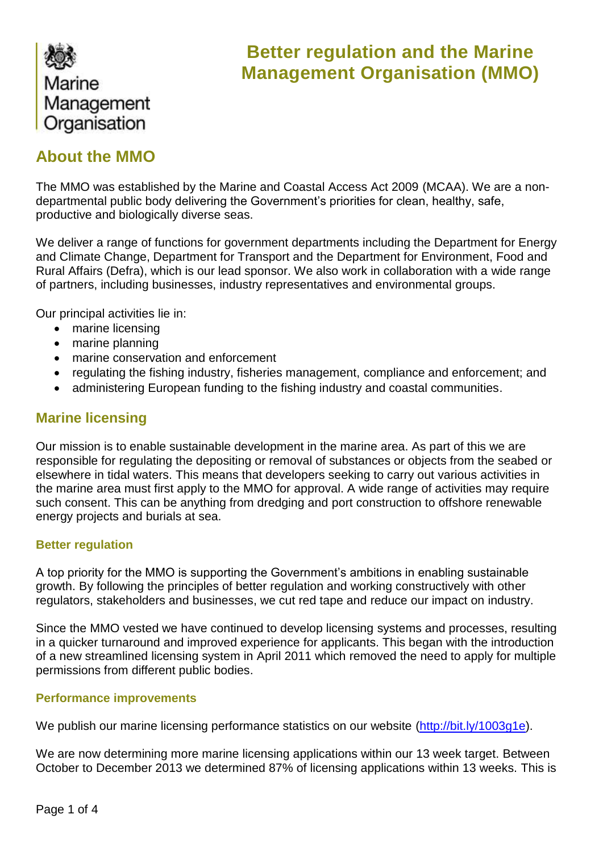

# **Better regulation and the Marine Management Organisation (MMO)**

## **About the MMO**

The MMO was established by the Marine and Coastal Access Act 2009 (MCAA). We are a nondepartmental public body delivering the Government's priorities for clean, healthy, safe, productive and biologically diverse seas.

We deliver a range of functions for government departments including the Department for Energy and Climate Change, Department for Transport and the Department for Environment, Food and Rural Affairs (Defra), which is our lead sponsor. We also work in collaboration with a wide range of partners, including businesses, industry representatives and environmental groups.

Our principal activities lie in:

- marine licensing
- marine planning
- marine conservation and enforcement
- regulating the fishing industry, fisheries management, compliance and enforcement; and
- administering European funding to the fishing industry and coastal communities.

## **Marine licensing**

Our mission is to enable sustainable development in the marine area. As part of this we are responsible for regulating the depositing or removal of substances or objects from the seabed or elsewhere in tidal waters. This means that developers seeking to carry out various activities in the marine area must first apply to the MMO for approval. A wide range of activities may require such consent. This can be anything from dredging and port construction to offshore renewable energy projects and burials at sea.

## **Better regulation**

A top priority for the MMO is supporting the Government's ambitions in enabling sustainable growth. By following the principles of better regulation and working constructively with other regulators, stakeholders and businesses, we cut red tape and reduce our impact on industry.

Since the MMO vested we have continued to develop licensing systems and processes, resulting in a quicker turnaround and improved experience for applicants. This began with the introduction of a new streamlined licensing system in April 2011 which removed the need to apply for multiple permissions from different public bodies.

## **Performance improvements**

We publish our marine licensing performance statistics on our website [\(http://bit.ly/1003g1e\)](http://bit.ly/1003g1e).

We are now determining more marine licensing applications within our 13 week target. Between October to December 2013 we determined 87% of licensing applications within 13 weeks. This is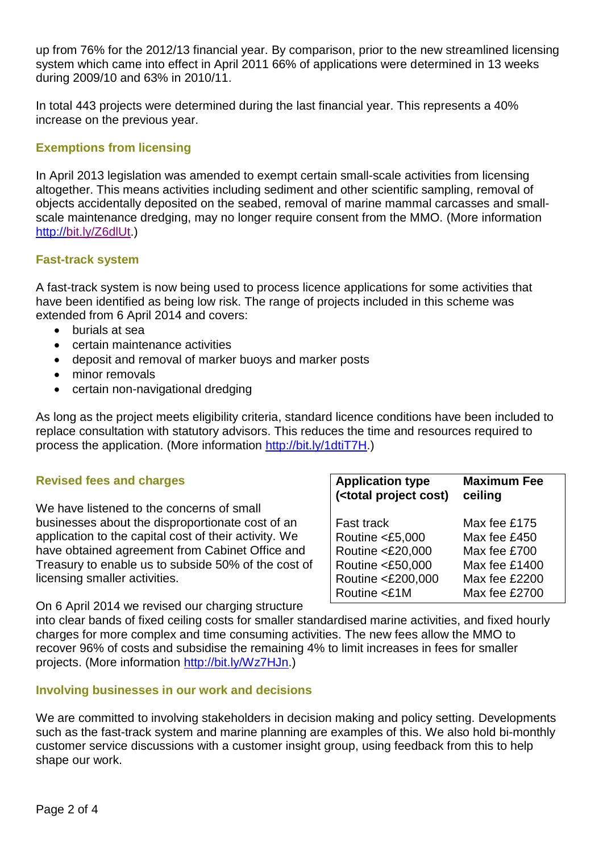up from 76% for the 2012/13 financial year. By comparison, prior to the new streamlined licensing system which came into effect in April 2011 66% of applications were determined in 13 weeks during 2009/10 and 63% in 2010/11.

In total 443 projects were determined during the last financial year. This represents a 40% increase on the previous year.

## **Exemptions from licensing**

In April 2013 legislation was amended to exempt certain small-scale activities from licensing altogether. This means activities including sediment and other scientific sampling, removal of objects accidentally deposited on the seabed, removal of marine mammal carcasses and smallscale maintenance dredging, may no longer require consent from the MMO. (More information [http://bit.ly/Z6dlUt.](http://bit.ly/Z6dlUt))

## **Fast-track system**

A fast-track system is now being used to process licence applications for some activities that have been identified as being low risk. The range of projects included in this scheme was extended from 6 April 2014 and covers:

- burials at sea
- certain maintenance activities
- deposit and removal of marker buoys and marker posts
- minor removals
- certain non-navigational dredging

As long as the project meets eligibility criteria, standard licence conditions have been included to replace consultation with statutory advisors. This reduces the time and resources required to process the application. (More information [http://bit.ly/1dtiT7H.](http://bit.ly/1dtiT7H))

| <b>Revised fees and charges</b>                       | <b>Application type</b><br>( <total cost)<="" project="" th=""><th><b>Maximum Fee</b><br/>ceiling</th></total> | <b>Maximum Fee</b><br>ceiling |
|-------------------------------------------------------|----------------------------------------------------------------------------------------------------------------|-------------------------------|
| We have listened to the concerns of small             |                                                                                                                |                               |
| businesses about the disproportionate cost of an      | <b>Fast track</b>                                                                                              | Max fee £175                  |
| application to the capital cost of their activity. We | Routine <£5,000                                                                                                | Max fee £450                  |
| have obtained agreement from Cabinet Office and       | Routine <£20,000                                                                                               | Max fee £700                  |
| Treasury to enable us to subside 50% of the cost of   | Routine <£50,000                                                                                               | Max fee £1400                 |
| licensing smaller activities.                         | Routine <£200,000                                                                                              | Max fee £2200                 |
|                                                       | Routine <£1M                                                                                                   | Max fee £2700                 |

On 6 April 2014 we revised our charging structure

into clear bands of fixed ceiling costs for smaller standardised marine activities, and fixed hourly charges for more complex and time consuming activities. The new fees allow the MMO to recover 96% of costs and subsidise the remaining 4% to limit increases in fees for smaller projects. (More information [http://bit.ly/Wz7HJn.](http://bit.ly/Wz7HJn))

#### **Involving businesses in our work and decisions**

We are committed to involving stakeholders in decision making and policy setting. Developments such as the fast-track system and marine planning are examples of this. We also hold bi-monthly customer service discussions with a customer insight group, using feedback from this to help shape our work.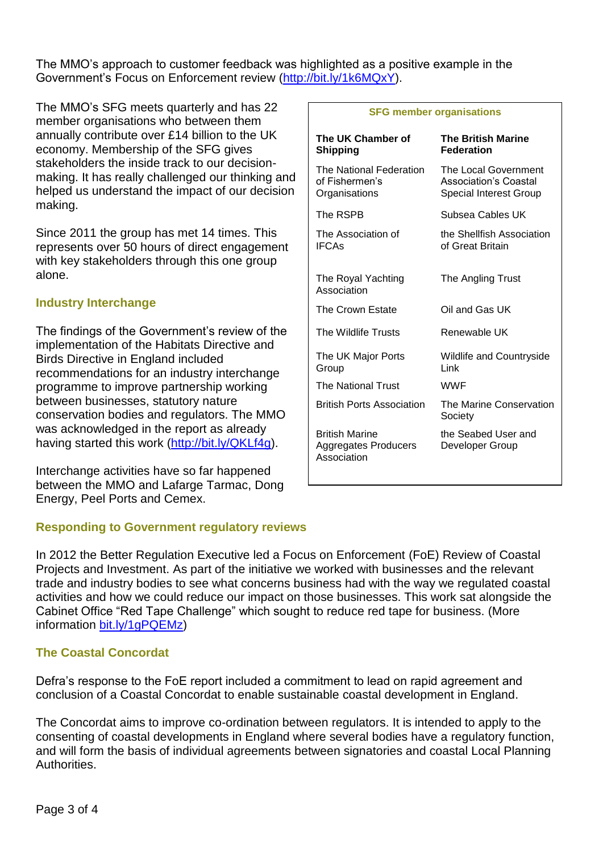The MMO's approach to customer feedback was highlighted as a positive example in the Government's Focus on Enforcement review [\(http://bit.ly/1k6MQxY\)](http://bit.ly/1k6MQxY).

The MMO's SFG meets quarterly and has 22 member organisations who between them annually contribute over £14 billion to the UK economy. Membership of the SFG gives stakeholders the inside track to our decisionmaking. It has really challenged our thinking and helped us understand the impact of our decision making.

Since 2011 the group has met 14 times. This represents over 50 hours of direct engagement with key stakeholders through this one group alone.

## **Industry Interchange**

The findings of the Government's review of the implementation of the Habitats Directive and Birds Directive in England included recommendations for an industry interchange programme to improve partnership working between businesses, statutory nature conservation bodies and regulators. The MMO was acknowledged in the report as already having started this work [\(http://bit.ly/QKLf4g\)](http://bit.ly/QKLf4g).

Interchange activities have so far happened between the MMO and Lafarge Tarmac, Dong Energy, Peel Ports and Cemex.

## **Responding to Government regulatory reviews**

In 2012 the Better Regulation Executive led a Focus on Enforcement (FoE) Review of Coastal Projects and Investment. As part of the initiative we worked with businesses and the relevant trade and industry bodies to see what concerns business had with the way we regulated coastal activities and how we could reduce our impact on those businesses. This work sat alongside the Cabinet Office "Red Tape Challenge" which sought to reduce red tape for business. (More information [bit.ly/1gPQEMz\)](http://bit.ly/1gPQEMz)

## **The Coastal Concordat**

Defra's response to the FoE report included a commitment to lead on rapid agreement and conclusion of a Coastal Concordat to enable sustainable coastal development in England.

The Concordat aims to improve co-ordination between regulators. It is intended to apply to the consenting of coastal developments in England where several bodies have a regulatory function, and will form the basis of individual agreements between signatories and coastal Local Planning **Authorities** 

#### **SFG member organisations**

| The UK Chamber of<br><b>Shipping</b>                         | <b>The British Marine</b><br><b>Federation</b>                                 |
|--------------------------------------------------------------|--------------------------------------------------------------------------------|
| The National Federation<br>of Fishermen's<br>Organisations   | The Local Government<br>Association's Coastal<br><b>Special Interest Group</b> |
| The RSPB                                                     | Subsea Cables UK                                                               |
| The Association of<br><b>IFCAs</b>                           | the Shellfish Association<br>of Great Britain                                  |
| The Royal Yachting<br>Association                            | The Angling Trust                                                              |
| The Crown Estate                                             | Oil and Gas UK                                                                 |
| The Wildlife Trusts                                          | Renewable UK                                                                   |
| The UK Major Ports<br>Group                                  | Wildlife and Countryside<br>I ink                                              |
| The National Trust                                           | <b>WWF</b>                                                                     |
| <b>British Ports Association</b>                             | The Marine Conservation<br>Society                                             |
| <b>British Marine</b><br>Aggregates Producers<br>Association | the Seabed User and<br>Developer Group                                         |